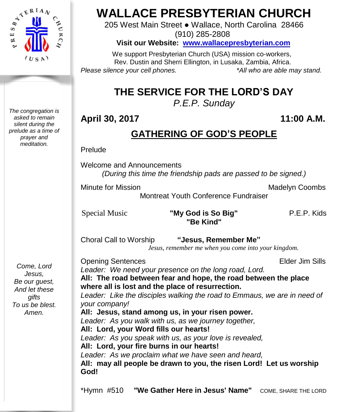

*The congregation is asked to remain silent during the prelude as a time of prayer and meditation.*

# **WALLACE PRESBYTERIAN CHURCH**

205 West Main Street ● Wallace, North Carolina 28466 (910) 285-2808

**Visit our Website: [www.wallacepresbyterian.com](http://www.wallacepresbyterian.com/)**

 We support Presbyterian Church (USA) mission co-workers, Rev. Dustin and Sherri Ellington, in Lusaka, Zambia, Africa. *Please silence your cell phones. \*All who are able may stand.*

# **THE SERVICE FOR THE LORD'S DAY**

*P.E.P. Sunday*

# **April 30, 2017 11:00 A.M.**

# **GATHERING OF GOD'S PEOPLE**

Prelude

Welcome and Announcements *(During this time the friendship pads are passed to be signed.)*

Minute for Mission **Minute Strutter Combs** Madelyn Coombs

Montreat Youth Conference Fundraiser

#### Special Music **"My God is So Big"** P.E.P. Kids **"Be Kind"**

Choral Call to Worship **"Jesus, Remember Me"**

 *Jesus, remember me when you come into your kingdom.*

*Come, Lord Jesus, Be our guest, And let these gifts To us be blest. Amen.*

**Opening Sentences Elder Jim Sills** *Leader: We need your presence on the long road, Lord.* **All: The road between fear and hope, the road between the place where all is lost and the place of resurrection.** *Leader: Like the disciples walking the road to Emmaus, we are in need of your company!* **All: Jesus, stand among us, in your risen power.** *Leader: As you walk with us, as we journey together,* **All: Lord, your Word fills our hearts!** *Leader: As you speak with us, as your love is revealed,* **All: Lord, your fire burns in our hearts!** *Leader: As we proclaim what we have seen and heard,* **All: may all people be drawn to you, the risen Lord! Let us worship God!**

\*Hymn #510 **"We Gather Here in Jesus' Name"** COME, SHARE THE LORD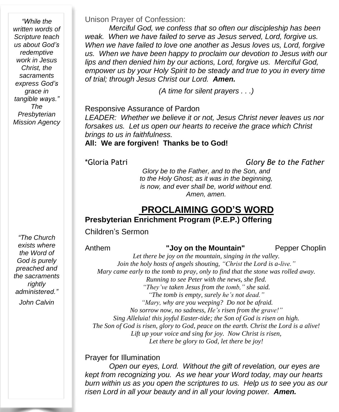*"While the written words of Scripture teach us about God's redemptive work in Jesus Christ, the sacraments express God's grace in tangible ways." The Presbyterian Mission Agency*

Unison Prayer of Confession:

*Merciful God, we confess that so often our discipleship has been weak. When we have failed to serve as Jesus served, Lord, forgive us. When we have failed to love one another as Jesus loves us, Lord, forgive us. When we have been happy to proclaim our devotion to Jesus with our lips and then denied him by our actions, Lord, forgive us. Merciful God, empower us by your Holy Spirit to be steady and true to you in every time of trial; through Jesus Christ our Lord. Amen.*

*(A time for silent prayers . . .)*

Responsive Assurance of Pardon *LEADER: Whether we believe it or not, Jesus Christ never leaves us nor forsakes us. Let us open our hearts to receive the grace which Christ brings to us in faithfulness.*

# **All: We are forgiven! Thanks be to God!**

\*Gloria Patri *Glory Be to the Father*

*Glory be to the Father, and to the Son, and to the Holy Ghost; as it was in the beginning, is now, and ever shall be, world without end. Amen, amen.*

### **PROCLAIMING GOD'S WORD Presbyterian Enrichment Program (P.E.P.) Offering**

Children's Sermon

*"The Church exists where the Word of God is purely preached and the sacraments rightly administered."*

*John Calvin*

Anthem **"Joy on the Mountain"** Pepper Choplin

*Let there be joy on the mountain, singing in the valley. Join the holy hosts of angels shouting, "Christ the Lord is a-live." Mary came early to the tomb to pray, only to find that the stone was rolled away. Running to see Peter with the news, she fled. "They've taken Jesus from the tomb," she said. "The tomb is empty, surely he's not dead." "Mary, why are you weeping? Do not be afraid. No sorrow now, no sadness, He's risen from the grave!" Sing Alleluia! this joyful Easter-tide; the Son of God is risen on high. The Son of God is risen, glory to God, peace on the earth. Christ the Lord is a alive! Lift up your voice and sing for joy. Now Christ is risen, Let there be glory to God, let there be joy!*

#### Prayer for Illumination

*Open our eyes, Lord. Without the gift of revelation, our eyes are kept from recognizing you. As we hear your Word today, may our hearts burn within us as you open the scriptures to us. Help us to see you as our risen Lord in all your beauty and in all your loving power. Amen.*

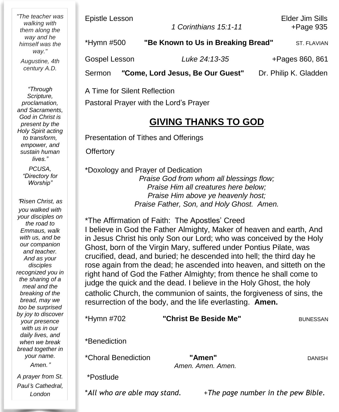*"The teacher was walking with them along the way and he himself was the way."*

*Augustine, 4th century A.D.*

*"Through Scripture, proclamation, and Sacraments, God in Christ is present by the Holy Spirit acting to transform, empower, and sustain human lives."*

> *PCUSA, "Directory for Worship"*

"*Risen Christ, as you walked with your disciples on the road to Emmaus, walk with us, and be our companion and teacher. And as your disciples recognized you in the sharing of a meal and the breaking of the bread, may we too be surprised by joy to discover your presence with us in our daily lives, and when we break bread together in your name. Amen.*"

*A prayer from St. Paul*'*s Cathedral, London*

Epistle Lesson Elder Jim Sills

 *1 Corinthians 15:1-11* +Page 935

| *Hymn #500    | "Be Known to Us in Breaking Bread" | ST. FLAVIAN           |
|---------------|------------------------------------|-----------------------|
| Gospel Lesson | Luke 24:13-35                      | +Pages 860, 861       |
| Sermon        | "Come, Lord Jesus, Be Our Guest"   | Dr. Philip K. Gladden |

A Time for Silent Reflection Pastoral Prayer with the Lord's Prayer

# **GIVING THANKS TO GOD**

Presentation of Tithes and Offerings

**Offertory** 

\*Doxology and Prayer of Dedication *Praise God from whom all blessings flow; Praise Him all creatures here below; Praise Him above ye heavenly host; Praise Father, Son, and Holy Ghost. Amen.*

\*The Affirmation of Faith: The Apostles' Creed I believe in God the Father Almighty, Maker of heaven and earth, And in Jesus Christ his only Son our Lord; who was conceived by the Holy Ghost, born of the Virgin Mary, suffered under Pontius Pilate, was crucified, dead, and buried; he descended into hell; the third day he rose again from the dead; he ascended into heaven, and sitteth on the right hand of God the Father Almighty; from thence he shall come to judge the quick and the dead. I believe in the Holy Ghost, the holy catholic Church, the communion of saints, the forgiveness of sins, the resurrection of the body, and the life everlasting. **Amen.**

| *Hymn #702          | "Christ Be Beside Me"       | <b>BUNESSAN</b> |
|---------------------|-----------------------------|-----------------|
| *Benediction        |                             |                 |
| *Choral Benediction | "Amen"<br>Amen, Amen, Amen, | <b>DANISH</b>   |
| *Postlude           |                             |                 |

\**All who are able may stand.* +*The page number in the pew Bible.*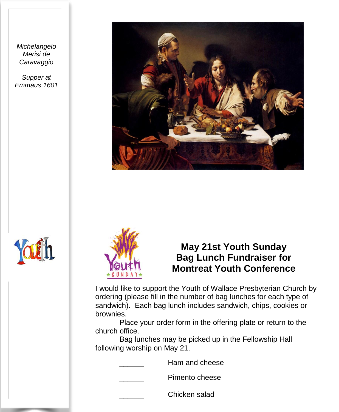*Michelangelo Merisi de Caravaggio*

*Supper at Emmaus 1601*







# **May 21st Youth Sunday Bag Lunch Fundraiser for Montreat Youth Conference**

I would like to support the Youth of Wallace Presbyterian Church by ordering (please fill in the number of bag lunches for each type of sandwich). Each bag lunch includes sandwich, chips, cookies or brownies.

Place your order form in the offering plate or return to the church office.

Bag lunches may be picked up in the Fellowship Hall following worship on May 21.

Ham and cheese

Pimento cheese

\_\_\_\_\_\_ Chicken salad

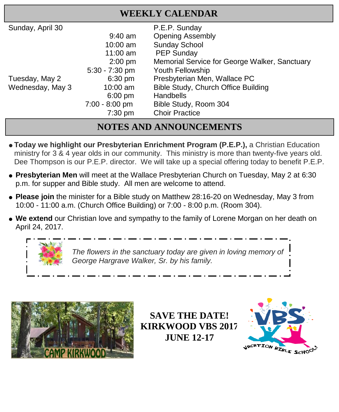| <b>WEEKLY CALENDAR</b> |                  |                                               |  |  |  |
|------------------------|------------------|-----------------------------------------------|--|--|--|
| Sunday, April 30       |                  | P.E.P. Sunday                                 |  |  |  |
|                        | $9:40$ am        | <b>Opening Assembly</b>                       |  |  |  |
|                        | $10:00$ am       | <b>Sunday School</b>                          |  |  |  |
|                        | 11:00 am         | <b>PEP Sunday</b>                             |  |  |  |
|                        | $2:00$ pm        | Memorial Service for George Walker, Sanctuary |  |  |  |
|                        | $5:30 - 7:30$ pm | Youth Fellowship                              |  |  |  |
| Tuesday, May 2         | $6:30$ pm        | Presbyterian Men, Wallace PC                  |  |  |  |
| Wednesday, May 3       | $10:00$ am       | Bible Study, Church Office Building           |  |  |  |
|                        | $6:00$ pm        | <b>Handbells</b>                              |  |  |  |
|                        | $7:00 - 8:00$ pm | Bible Study, Room 304                         |  |  |  |
|                        | $7:30$ pm        | <b>Choir Practice</b>                         |  |  |  |

# **NOTES AND ANNOUNCEMENTS**

- $\bullet$  **Today** we highlight our Presbyterian Enrichment Program (P.E.P.), a Christian Education ministry for 3 & 4 year olds in our community. This ministry is more than twenty-five years old. Dee Thompson is our P.E.P. director. We will take up a special offering today to benefit P.E.P.
- **Presbyterian Men** will meet at the Wallace Presbyterian Church on Tuesday, May 2 at 6:30 p.m. for supper and Bible study. All men are welcome to attend.
- **Please join** the minister for a Bible study on Matthew 28:16-20 on Wednesday, May 3 from 10:00 - 11:00 a.m. (Church Office Building) or 7:00 - 8:00 p.m. (Room 304).
- **We extend** our Christian love and sympathy to the family of Lorene Morgan on her death on April 24, 2017.



*The flowers in the sanctuary today are given in loving memory of George Hargrave Walker, Sr. by his family.*



**SAVE THE DATE! KIRKWOOD VBS 2017 JUNE 12-17**